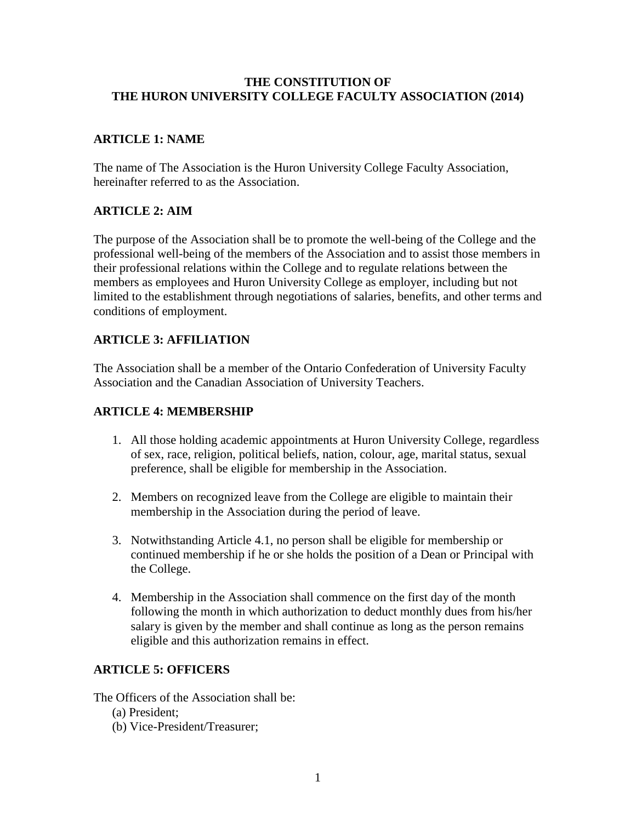#### **THE CONSTITUTION OF THE HURON UNIVERSITY COLLEGE FACULTY ASSOCIATION (2014)**

## **ARTICLE 1: NAME**

The name of The Association is the Huron University College Faculty Association, hereinafter referred to as the Association.

### **ARTICLE 2: AIM**

The purpose of the Association shall be to promote the well-being of the College and the professional well-being of the members of the Association and to assist those members in their professional relations within the College and to regulate relations between the members as employees and Huron University College as employer, including but not limited to the establishment through negotiations of salaries, benefits, and other terms and conditions of employment.

## **ARTICLE 3: AFFILIATION**

The Association shall be a member of the Ontario Confederation of University Faculty Association and the Canadian Association of University Teachers.

### **ARTICLE 4: MEMBERSHIP**

- 1. All those holding academic appointments at Huron University College, regardless of sex, race, religion, political beliefs, nation, colour, age, marital status, sexual preference, shall be eligible for membership in the Association.
- 2. Members on recognized leave from the College are eligible to maintain their membership in the Association during the period of leave.
- 3. Notwithstanding Article 4.1, no person shall be eligible for membership or continued membership if he or she holds the position of a Dean or Principal with the College.
- 4. Membership in the Association shall commence on the first day of the month following the month in which authorization to deduct monthly dues from his/her salary is given by the member and shall continue as long as the person remains eligible and this authorization remains in effect.

### **ARTICLE 5: OFFICERS**

The Officers of the Association shall be:

- (a) President;
- (b) Vice-President/Treasurer;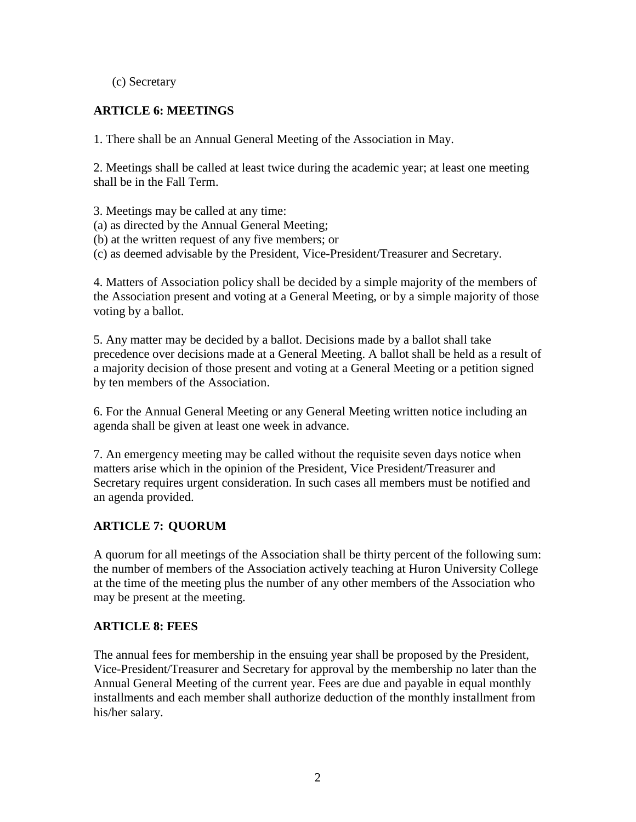(c) Secretary

## **ARTICLE 6: MEETINGS**

1. There shall be an Annual General Meeting of the Association in May.

2. Meetings shall be called at least twice during the academic year; at least one meeting shall be in the Fall Term.

3. Meetings may be called at any time: (a) as directed by the Annual General Meeting; (b) at the written request of any five members; or (c) as deemed advisable by the President, Vice-President/Treasurer and Secretary.

4. Matters of Association policy shall be decided by a simple majority of the members of the Association present and voting at a General Meeting, or by a simple majority of those voting by a ballot.

5. Any matter may be decided by a ballot. Decisions made by a ballot shall take precedence over decisions made at a General Meeting. A ballot shall be held as a result of a majority decision of those present and voting at a General Meeting or a petition signed by ten members of the Association.

6. For the Annual General Meeting or any General Meeting written notice including an agenda shall be given at least one week in advance.

7. An emergency meeting may be called without the requisite seven days notice when matters arise which in the opinion of the President, Vice President/Treasurer and Secretary requires urgent consideration. In such cases all members must be notified and an agenda provided.

# **ARTICLE 7: QUORUM**

A quorum for all meetings of the Association shall be thirty percent of the following sum: the number of members of the Association actively teaching at Huron University College at the time of the meeting plus the number of any other members of the Association who may be present at the meeting.

### **ARTICLE 8: FEES**

The annual fees for membership in the ensuing year shall be proposed by the President, Vice-President/Treasurer and Secretary for approval by the membership no later than the Annual General Meeting of the current year. Fees are due and payable in equal monthly installments and each member shall authorize deduction of the monthly installment from his/her salary.